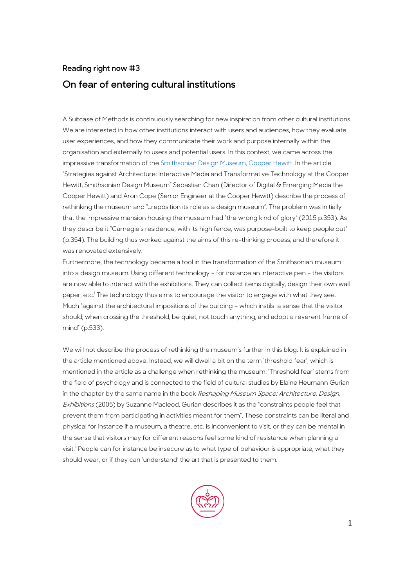## **Reading right now #3 On fear of entering cultural institutions**

A Suitcase of Methods is continuously searching for new inspiration from other cultural institutions. We are interested in how other institutions interact with users and audiences, how they evaluate user experiences, and how they communicate their work and purpose internally within the organisation and externally to users and potential users. In this context, we came across the impressive transformation of th[e Smithsonian Design Museum, Cooper Hewitt.](https://www.cooperhewitt.org/) In the article "Strategies against Architecture: Interactive Media and Transformative Technology at the Cooper Hewitt, Smithsonian Design Museum" Sebastian Chan (Director of Digital & Emerging Media the Cooper Hewitt) and Aron Cope (Senior Engineer at the Cooper Hewitt) describe the process of rethinking the museum and "…reposition its role as a design museum". The problem was initially that the impressive mansion housing the museum had "the wrong kind of glory" (2015 p.353). As they describe it "Carnegie's residence, with its high fence, was purpose-built to keep people out" (p.354). The building thus worked against the aims of this re-thinking process, and therefore it was renovated extensively.

Furthermore, the technology became a tool in the transformation of the Smithsonian museum into a design museum. Using different technology – for instance an interactive pen – the visitors are now able to interact with the exhibitions. They can collect items digitally, design their own wall paper, etc.<sup>i</sup> The technology thus aims to encourage the visitor to engage with what they see. Much "against the architectural impositions of the building – which instils a sense that the visitor should, when crossing the threshold, be quiet, not touch anything, and adopt a reverent frame of mind" (p.533).

We will not describe the process of rethinking the museum's further in this blog. It is explained in the article mentioned above. Instead, we will dwell a bit on the term 'threshold fear', which is mentioned in the article as a challenge when rethinking the museum. 'Threshold fear' stems from the field of psychology and is connected to the field of cultural studies by Elaine Heumann Gurian in the chapter by the same name in the book Reshaping Museum Space: Architecture, Design, Exhibitions (2005) by Suzanne Macleod. Gurian describes it as the "constraints people feel that prevent them from participating in activities meant for them". These constraints can be literal and physical for instance if a museum, a theatre, etc. is inconvenient to visit, or they can be mental in the sense that visitors may for different reasons feel some kind of resistance when planning a visit.<sup>ii</sup> People can for instance be insecure as to what type of behaviour is appropriate, what they should wear, or if they can 'understand' the art that is presented to them.

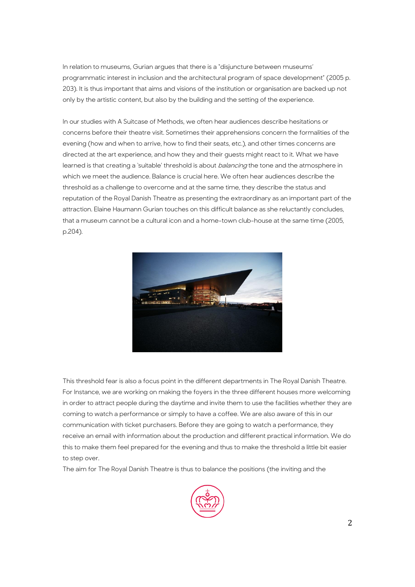In relation to museums, Gurian argues that there is a "disjuncture between museums' programmatic interest in inclusion and the architectural program of space development" (2005 p. 203). It is thus important that aims and visions of the institution or organisation are backed up not only by the artistic content, but also by the building and the setting of the experience.

In our studies with A Suitcase of Methods, we often hear audiences describe hesitations or concerns before their theatre visit. Sometimes their apprehensions concern the formalities of the evening (how and when to arrive, how to find their seats, etc.), and other times concerns are directed at the art experience, and how they and their guests might react to it. What we have learned is that creating a 'suitable' threshold is about *balancing* the tone and the atmosphere in which we meet the audience. Balance is crucial here. We often hear audiences describe the threshold as a challenge to overcome and at the same time, they describe the status and reputation of the Royal Danish Theatre as presenting the extraordinary as an important part of the attraction. Elaine Haumann Gurian touches on this difficult balance as she reluctantly concludes, that a museum cannot be a cultural icon and a home-town club-house at the same time (2005, p.204).



This threshold fear is also a focus point in the different departments in The Royal Danish Theatre. For Instance, we are working on making the foyers in the three different houses more welcoming in order to attract people during the daytime and invite them to use the facilities whether they are coming to watch a performance or simply to have a coffee. We are also aware of this in our communication with ticket purchasers. Before they are going to watch a performance, they receive an email with information about the production and different practical information. We do this to make them feel prepared for the evening and thus to make the threshold a little bit easier to step over.

The aim for The Royal Danish Theatre is thus to balance the positions (the inviting and the